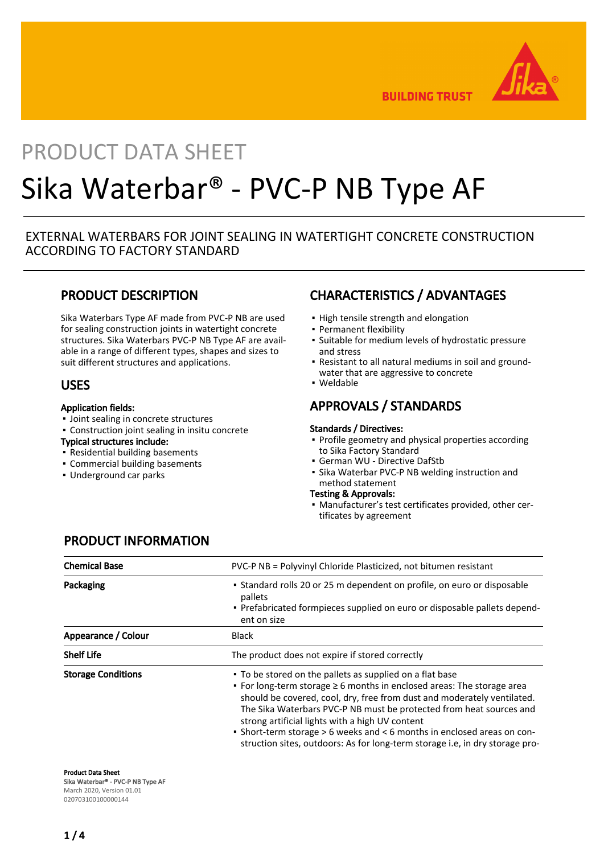

**BUILDING TRUST** 

# PRODUCT DATA SHEET Sika Waterbar® - PVC-P NB Type AF

#### EXTERNAL WATERBARS FOR JOINT SEALING IN WATERTIGHT CONCRETE CONSTRUCTION ACCORDING TO FACTORY STANDARD

## PRODUCT DESCRIPTION

Sika Waterbars Type AF made from PVC-P NB are used for sealing construction joints in watertight concrete structures. Sika Waterbars PVC-P NB Type AF are available in a range of different types, shapes and sizes to suit different structures and applications.

#### USES

#### Application fields:

- Joint sealing in concrete structures
- Construction joint sealing in insitu concrete
- Typical structures include:
- Residential building basements
- Commercial building basements
- Underground car parks

## CHARACTERISTICS / ADVANTAGES

- **.** High tensile strength and elongation
- Permanent flexibility
- **•** Suitable for medium levels of hydrostatic pressure and stress
- Resistant to all natural mediums in soil and ground-▪ water that are aggressive to concrete
- Weldable

## APPROVALS / STANDARDS

#### Standards / Directives:

- Profile geometry and physical properties according to Sika Factory Standard
- German WU Directive DafStb
- **.** Sika Waterbar PVC-P NB welding instruction and method statement
- Testing & Approvals:
- Manufacturer's test certificates provided, other cer-▪ tificates by agreement

| <b>Chemical Base</b>      | PVC-P NB = Polyvinyl Chloride Plasticized, not bitumen resistant                                                                                                                                                                                                                                                                                                                                                                                                                                        |  |  |  |  |
|---------------------------|---------------------------------------------------------------------------------------------------------------------------------------------------------------------------------------------------------------------------------------------------------------------------------------------------------------------------------------------------------------------------------------------------------------------------------------------------------------------------------------------------------|--|--|--|--|
| Packaging                 | • Standard rolls 20 or 25 m dependent on profile, on euro or disposable<br>pallets<br>- Prefabricated formpieces supplied on euro or disposable pallets depend-<br>ent on size                                                                                                                                                                                                                                                                                                                          |  |  |  |  |
| Appearance / Colour       | <b>Black</b>                                                                                                                                                                                                                                                                                                                                                                                                                                                                                            |  |  |  |  |
| <b>Shelf Life</b>         | The product does not expire if stored correctly                                                                                                                                                                                                                                                                                                                                                                                                                                                         |  |  |  |  |
| <b>Storage Conditions</b> | • To be stored on the pallets as supplied on a flat base<br>• For long-term storage $\geq 6$ months in enclosed areas: The storage area<br>should be covered, cool, dry, free from dust and moderately ventilated.<br>The Sika Waterbars PVC-P NB must be protected from heat sources and<br>strong artificial lights with a high UV content<br>• Short-term storage > 6 weeks and < 6 months in enclosed areas on con-<br>struction sites, outdoors: As for long-term storage i.e, in dry storage pro- |  |  |  |  |

# PRODUCT INFORMATION

Product Data Sheet Sika Waterbar® - PVC-P NB Type AF

March 2020, Version 01.01 020703100100000144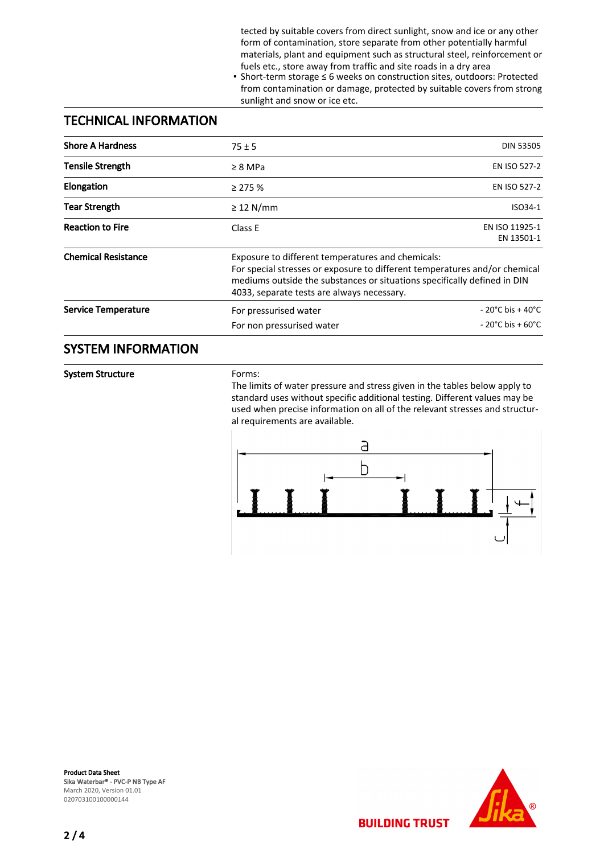tected by suitable covers from direct sunlight, snow and ice or any other form of contamination, store separate from other potentially harmful materials, plant and equipment such as structural steel, reinforcement or fuels etc., store away from traffic and site roads in a dry area

■ Short-term storage ≤ 6 weeks on construction sites, outdoors: Protected from contamination or damage, protected by suitable covers from strong sunlight and snow or ice etc.

#### TECHNICAL INFORMATION

| <b>Shore A Hardness</b>    | $75 \pm 5$                                                                                                                                                                                                                                                | <b>DIN 53505</b>                                                               |  |
|----------------------------|-----------------------------------------------------------------------------------------------------------------------------------------------------------------------------------------------------------------------------------------------------------|--------------------------------------------------------------------------------|--|
| <b>Tensile Strength</b>    | $\geq 8$ MPa                                                                                                                                                                                                                                              | EN ISO 527-2                                                                   |  |
| <b>Elongation</b>          | $\geq$ 275 %                                                                                                                                                                                                                                              | EN ISO 527-2                                                                   |  |
| <b>Tear Strength</b>       | $\geq$ 12 N/mm                                                                                                                                                                                                                                            | ISO34-1                                                                        |  |
| <b>Reaction to Fire</b>    | Class E                                                                                                                                                                                                                                                   | EN ISO 11925-1<br>EN 13501-1                                                   |  |
| <b>Chemical Resistance</b> | Exposure to different temperatures and chemicals:<br>For special stresses or exposure to different temperatures and/or chemical<br>mediums outside the substances or situations specifically defined in DIN<br>4033, separate tests are always necessary. |                                                                                |  |
| <b>Service Temperature</b> | For pressurised water<br>For non pressurised water                                                                                                                                                                                                        | $-20^{\circ}$ C bis + 40 $^{\circ}$ C<br>$-20^{\circ}$ C bis + 60 $^{\circ}$ C |  |

#### SYSTEM INFORMATION

System Structure

Forms:

The limits of water pressure and stress given in the tables below apply to standard uses without specific additional testing. Different values may be used when precise information on all of the relevant stresses and structural requirements are available.



**BUILDING TRUST** 

Product Data Sheet Sika Waterbar® - PVC-P NB Type AF March 2020, Version 01.01 020703100100000144

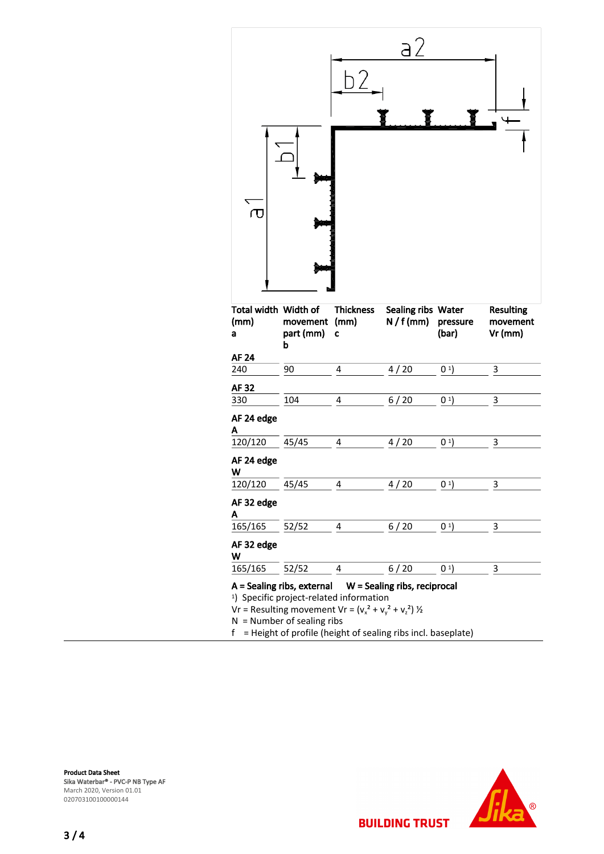

| Total width Width of<br>(mm)<br>а                                                                                                                                                                                                                                                    | movement<br>part (mm)<br>b | <b>Thickness</b><br>(mm)<br>C | Sealing ribs Water<br>$N/f$ (mm) | pressure<br>(bar) | <b>Resulting</b><br>movement<br>$Vr$ (mm) |  |  |
|--------------------------------------------------------------------------------------------------------------------------------------------------------------------------------------------------------------------------------------------------------------------------------------|----------------------------|-------------------------------|----------------------------------|-------------------|-------------------------------------------|--|--|
| AF 24                                                                                                                                                                                                                                                                                |                            |                               |                                  |                   |                                           |  |  |
| 240                                                                                                                                                                                                                                                                                  | 90                         | 4                             | 4/20                             | (0 <sup>1</sup> ) | 3                                         |  |  |
| AF 32                                                                                                                                                                                                                                                                                |                            |                               |                                  |                   |                                           |  |  |
| 330                                                                                                                                                                                                                                                                                  | 104                        | 4                             | 6/20                             | (0 <sup>1</sup> ) | 3                                         |  |  |
| AF 24 edge<br>Α                                                                                                                                                                                                                                                                      |                            |                               |                                  |                   |                                           |  |  |
| 120/120                                                                                                                                                                                                                                                                              | 45/45                      | 4                             | 4/20                             | (0 <sup>1</sup> ) | 3                                         |  |  |
| AF 24 edge<br>W                                                                                                                                                                                                                                                                      |                            |                               |                                  |                   |                                           |  |  |
| 120/120                                                                                                                                                                                                                                                                              | 45/45                      | 4                             | 4/20                             | (01)              | 3                                         |  |  |
| AF 32 edge<br>Α                                                                                                                                                                                                                                                                      |                            |                               |                                  |                   |                                           |  |  |
| 165/165                                                                                                                                                                                                                                                                              | 52/52                      | 4                             | 6/20                             | 0 <sup>1</sup>    | 3                                         |  |  |
| AF 32 edge<br>W                                                                                                                                                                                                                                                                      |                            |                               |                                  |                   |                                           |  |  |
| 165/165                                                                                                                                                                                                                                                                              | 52/52                      | 4                             | 6/20                             | (01)              | 3                                         |  |  |
| $A =$ Sealing ribs, external $W =$ Sealing ribs, reciprocal<br><sup>1</sup> ) Specific project-related information<br>Vr = Resulting movement Vr = $(v_x^2 + v_y^2 + v_z^2)$ ½<br>$N =$ Number of sealing ribs<br>= Height of profile (height of sealing ribs incl. baseplate)<br>f. |                            |                               |                                  |                   |                                           |  |  |

**BUILDING TRUST**